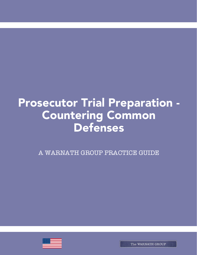# Prosecutor Trial Preparation -Countering Common Defenses

A WARNATH GROUP PRACTICE GUIDE

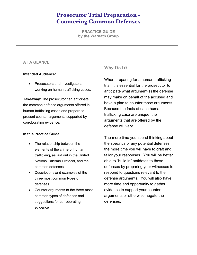# **Prosecutor Trial Preparation - Countering Common Defenses**

**PRACTICE GUIDE by the Warnath Group**

### **AT A GLANCE**

#### **Intended Audience:**

• Prosecutors and Investigators working on human trafficking cases.

**Takeaway:** The prosecutor can anticipate the common defense arguments offered in human trafficking cases and prepare to present counter arguments supported by corroborating evidence.

#### **In this Practice Guide:**

- The relationship between the elements of the crime of human trafficking, as laid out in the United Nations Palermo Protocol, and the common defenses
- Descriptions and examples of the three most common types of defenses
- Counter arguments to the three most common types of defenses and suggestions for corroborating evidence

## **Why Do It?**

When preparing for a human trafficking trial, it is essential for the prosecutor to anticipate what argument(s) the defense may make on behalf of the accused and have a plan to counter those arguments. Because the facts of each human trafficking case are unique, the arguments that are offered by the defense will vary.

The more time you spend thinking about the specifics of any potential defenses, the more time you will have to craft and tailor your responses. You will be better able to "build in" antidotes to these defenses by preparing your witnesses to respond to questions relevant to the defense arguments. You will also have more time and opportunity to gather evidence to support your counterarguments or otherwise negate the defenses.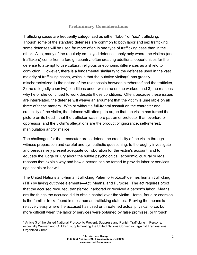## **Preliminary Considerations**

Trafficking cases are frequently categorized as either "labor" or "sex" trafficking. Though some of the standard defenses are common to both labor and sex trafficking, some defenses will be used far more often in one type of trafficking case than in the other. Also, many of the regularly employed defenses apply only where the victims (and traffickers) come from a foreign country, often creating additional opportunities for the defense to attempt to use cultural, religious or economic differences as a shield to conviction. However, there is a fundamental similarity to the defenses used in the vast majority of trafficking cases, which is that the putative victim(s) has grossly mischaracterized 1) the nature of the relationship between him/herself and the trafficker, 2) the (allegedly coercive) conditions under which he or she worked, and 3) the reasons why he or she continued to work despite those conditions. Often, because these issues are interrelated, the defense will weave an argument that the victim is unreliable on all three of these matters. With or without a full-frontal assault on the character and credibility of the victim, the defense will attempt to argue that the victim has turned the picture on its head—that the trafficker was more patron or protector than overlord or oppressor, and the victim's allegations are the product of ignorance, self-interest, manipulation and/or malice.

The challenges for the prosecutor are to defend the credibility of the victim through witness preparation and careful and sympathetic questioning; to thoroughly investigate and persuasively present adequate corroboration for the victim's account; and to educate the judge or jury about the subtle psychological, economic, cultural or legal reasons that explain why and how a person can be forced to provide labor or services against his or her will.

The United Nations anti-human trafficking Palermo Protocol<sup>1</sup> defines human trafficking (TIP) by laying out three elements—Act, Means, and Purpose. The act requires proof that the accused recruited, transferred, harbored or received a person's labor. Means are the things the accused did to obtain control over the victim—force, fraud or coercion is the familiar troika found in most human trafficking statutes. Proving the means is relatively easy where the accused has used or threatened actual physical force, but more difficult when the labor or services were obtained by false promises, or through

 <sup>1</sup> Article 3 of the United National Protocol to Prevent, Suppress and Punish Trafficking in Persons, especially Women and Children, supplementing the United Nations Convention against Transnational Organized Crime.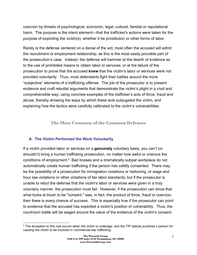coercion by threats of psychological, economic, legal, cultural, familial or reputational harm. The purpose is the intent element—that the trafficker's actions were taken for the purpose of exploiting the victim(s), whether it be prostitution or other forms of labor.

Rarely is the defense centered on a denial of the act; most often the accused will admit the recruitment or employment relationship, as this is the most easily provable part of the prosecution's case. Instead, the defense will hammer at the dearth of evidence as to the use of prohibited means to obtain labor or services; or at the failure of the prosecution to prove that the accused **knew** that the victim's labor or services were not provided voluntarily. Thus, most defendants fight their battles around the more "subjective" elements of a trafficking offense. The job of the prosecutor is to present evidence and craft rebuttal arguments that demonstrate the victim's plight in a vivid and comprehensible way, using concrete examples of the trafficker's acts of force, fraud and abuse, thereby showing the ways by which these acts subjugated the victim, and explaining how the tactics were carefully calibrated to the victim's vulnerabilities.

#### **The Most Common of the Common Defenses**

#### **A. The Victim Performed the Work Voluntarily**

If a victim provided labor or services on a **genuinely** voluntary basis, you can't (or shouldn't) bring a human trafficking prosecution, no matter how awful or onerous the conditions of employment.2 Bad bosses and a dramatically subpar workplace do not automatically create human trafficking if the person has validly consented. There may be the possibility of a prosecution for immigration violations or harboring, or wage and hour law violations or other violations of fair labor standards, but if the prosecutor is unable to rebut the defense that the victim's labor or services were given in a truly voluntary manner, the prosecution must fail. However, if the prosecution can show that what looks at blush to be "consent," was, in fact, the product of force, fraud or coercion, then there is every chance of success. This is especially true if the prosecutor can point to evidence that the accused has exploited a victim's position of vulnerability. Thus, the courtroom battle will be waged around the value of the evidence of the victim's consent.

 $\overline{\phantom{a}}$  $2$  The exception to this rule occurs when the victim is underage, and the TIP statute punishes s person for causing the victim to be involved in commercial sex trafficking.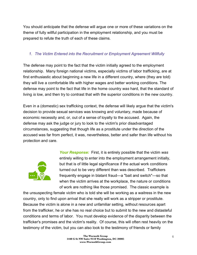You should anticipate that the defense will argue one or more of these variations on the theme of fully willful participation in the employment relationship, and you must be prepared to refute the truth of each of these claims.

#### *1. The Victim Entered into the Recruitment or Employment Agreement Willfully*

The defense may point to the fact that the victim initially agreed to the employment relationship. Many foreign national victims, especially victims of labor trafficking, are at first enthusiastic about beginning a new life in a different country, where (they are told) they will live a comfortable life with higher wages and better working conditions. The defense may point to the fact that life in the home country *was* hard, that the standard of living *is* low, and then try to contrast that with the superior conditions in the new country.

Even in a (domestic) sex trafficking context, the defense will likely argue that the victim's decision to provide sexual services was knowing and voluntary, made because of economic necessity and, or, out of a sense of loyalty to the accused. Again, the defense may ask the judge or jury to look to the victim's prior disadvantaged circumstances, suggesting that though life as a prostitute under the direction of the accused was far from perfect, it was, nevertheless, better and safer than life without his protection and care.



*Your Response:* First, it is entirely possible that the victim *was* entirely willing to enter into the employment arrangement initially, but that is of little legal significance if the actual work conditions turned out to be very different than was described. Traffickers frequently engage in blatant fraud—a "bait and switch"—so that when the victim arrives at the workplace, the nature or conditions of work are nothing like those promised. The classic example is

the unsuspecting female victim who is told she will be working as a waitress in the new country, only to find upon arrival that she really will work as a stripper or prostitute. Because the victim is alone in a new and unfamiliar setting, without resources apart from the trafficker, he or she has no real choice but to submit to the new and distasteful conditions and terms of labor. You must develop evidence of the disparity between the trafficker's promises and the victim's reality. Of course, this will often rest heavily on the testimony of the victim, but you can also look to the testimony of friends or family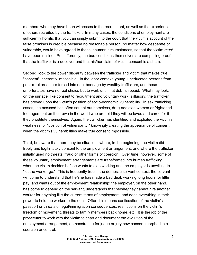members who may have been witnesses to the recruitment, as well as the experiences of others recruited by the trafficker. In many cases, the conditions of employment are sufficiently horrific that you can simply submit to the court that the victim's account of the false promises is credible because no reasonable person, no matter how desperate or vulnerable, would have agreed to those inhuman circumstances, so that the victim *must* have been misled. Put differently, the bad conditions themselves are compelling proof that the trafficker is a deceiver and that his/her claim of victim consent is a sham.

Second, look to the power disparity between the trafficker and victim that makes true "consent" inherently impossible. In the labor context, young, uneducated persons from poor rural areas are forced into debt bondage by wealthy traffickers, and these unfortunates have no real choice but to work until that debt is repaid. What may look, on the surface, like consent to recruitment and voluntary work is illusory; the trafficker has preyed upon the victim's position of socio-economic vulnerability. In sex trafficking cases, the accused has often sought out homeless, drug-addicted women or frightened teenagers out on their own in the world who are told they will be loved and cared for if they prostitute themselves. Again, the trafficker has identified and exploited the victim's weakness, or "position of vulnerability," knowingly creating the appearance of consent when the victim's vulnerabilities make true consent impossible.

Third, be aware that there may be situations where, in the beginning, the victim did freely and legitimately consent to the employment arrangement, and where the trafficker initially used no threats, fraud or other forms of coercion. Over time, however, some of these voluntary employment arrangements are transformed into human trafficking, when the victim decides he/she wants to stop working and the employer is unwilling to "let the worker go." This is frequently true in the domestic servant context: the servant will come to understand that he/she has made a bad deal, working long hours for little pay, and wants out of the employment relationship; the employer, on the other hand, has come to depend on the servant, understands that he/she/they cannot hire another worker for anything like the current terms of employment, and does everything in their power to hold the worker to the deal. Often this means confiscation of the victim's passport or threats of legal/immigration consequences, restrictions on the victim's freedom of movement, threats to family members back home, etc. It is the job of the prosecutor to work with the victim to chart and document the evolution of the employment arrangement, demonstrating for judge or jury how consent morphed into coercion or control.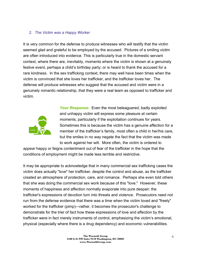#### *2. The Victim was a Happy Worker*

It is very common for the defense to produce witnesses who will testify that the victim seemed glad and grateful to be employed by the accused. Pictures of a smiling victim are often introduced into evidence. This is particularly true in the domestic servant context, where there are, inevitably, moments where the victim is shown at a genuinely festive event, perhaps a child's birthday party; or is heard to thank the accused for a rare kindness. In the sex trafficking context, there may well have been times when the victim is convinced that she loves her trafficker, and the trafficker loves her. The defense will produce witnesses who suggest that the accused and victim were in a genuinely romantic relationship, that they were a real team as opposed to trafficker and victim.



*Your Response:* Even the most beleaguered, badly exploited and unhappy victim will express some pleasure at certain moments, particularly if the exploitation continues for years. Sometimes this is because the victim has a genuine affection for a member of the trafficker's family, most often a child in her/his care, but the smiles in no way negate the fact that the victim was made to work against her will. More often, the victim is ordered to

*appear* happy or feigns contentment out of fear of the trafficker in the hope that the conditions of employment might be made less terrible and restrictive.

It may be appropriate to acknowledge that in many commercial sex trafficking cases the victim does actually "love" her trafficker, despite the control and abuse, as the trafficker created an atmosphere of protection, care, and romance. Perhaps she even told others that she was doing the commercial sex work because of this "love." However, these moments of happiness and affection normally evaporate into pure despair; the trafficker's expressions of devotion turn into threats and violence. Prosecutors need not run from the defense evidence that there was a time when the victim loved and "freely" worked for the trafficker (pimp)—rather, it becomes the prosecutor's challenge to demonstrate for the trier of fact how these expressions of love and affection by the trafficker were in fact merely instruments of control, emphasizing the victim's emotional, physical (especially where there is a drug dependency) and economic vulnerabilities.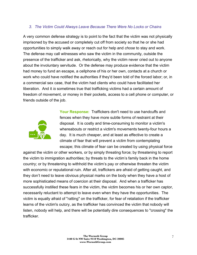#### *3. The Victim Could Always Leave Because There Were No Locks or Chains*

A very common defense strategy is to point to the fact that the victim was not physically imprisoned by the accused or completely cut off from society so that he or she had opportunities to simply walk away or reach out for help and *chose* to stay and work. The defense may call witnesses who saw the victim in the community, outside the presence of the trafficker and ask, rhetorically, why the victim never cried out to anyone about the involuntary servitude. Or the defense may produce evidence that the victim had money to fund an escape, a cellphone of his or her own, contacts at a church or work who could have notified the authorities if they'd been told of the forced labor; or, in a commercial sex case, that the victim had clients who could have facilitated her liberation. And it *is* sometimes true that trafficking victims had a certain amount of freedom of movement, or money in their pockets, access to a cell phone or computer, or friends outside of the job.



**Your Response:** Traffickers don't need to use handcuffs and fences when they have more subtle forms of restraint at their disposal. It is costly and time-consuming to monitor a victim's whereabouts or restrict a victim's movements twenty-four hours a day. It is much cheaper, and at least as effective to create a climate of fear that will prevent a victim from contemplating escape; this climate of fear can be created by using physical force

against the victim or other workers, or by simply threating force; by threatening to report the victim to immigration authorities; by threats to the victim's family back in the home country; or by threatening to withhold the victim's pay or otherwise threaten the victim with economic or reputational ruin. After all, traffickers are afraid of getting caught, and they don't need to leave obvious physical marks on the body when they have a host of more sophisticated means of coercion at their disposal. And when a trafficker has successfully instilled these fears in the victim, the victim becomes his or her own captor, necessarily reluctant to attempt to leave even when they have the opportunities. The victim is equally afraid of "ratting" on the trafficker, for fear of retaliation if the trafficker learns of the victim's outcry, as the trafficker has convinced the victim that nobody will listen, nobody will help, and there will be potentially dire consequences to "crossing" the trafficker.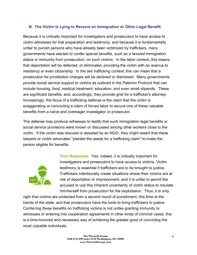#### **B. The Victim Is Lying to Receive an Immigration or Other Legal Benefit**

Because it is critically important for investigators and prosecutors to have access to victim-witnesses for trial preparation and testimony, and because it is fundamentally unfair to punish persons who have already been victimized by traffickers, many governments have elected to confer special benefits, such as a favored immigration status or immunity from prosecution, on such victims. In the labor context, this means that deportation will be deferred, or eliminated, providing the victim with an avenue to residency or even citizenship. In the sex trafficking context, this can mean that a prosecution for prostitution charges will be declined or dismissed. Many governments provide social service support to victims as outlined in the Palermo Protocol that can include housing, food, medical treatment, education, and even small stipends. These are significant benefits, and, accordingly, they provide grist for a trafficker's attorney. Increasingly, the focus of a trafficking defense is the claim that the victim is exaggerating or concocting a claim of forced labor to secure one of these valuable benefits from a naïve and overeager investigator or prosecutor.

The defense may produce witnesses to testify that such immigration legal benefits or social service provisions were known or discussed among other workers close to the victim. If the victim was rescued or assisted by an NGO, they might assert that these lawyers or victim advocates "planted the seeds for a trafficking claim" to make the person eligible for benefits.



**Your Response:** Yes, indeed, it is critically important for investigators and prosecutors to have access to victims. Victim testimony is essential if traffickers are to be brought to justice. Traffickers intentionally create situations where their victims are at risk of deportation or imprisonment, and it is unfair to permit the accused to use this inherent uncertainty of victim status to insulate him/herself from prosecution for the exploitation. Thus, it is only

right that victims are protected from a second round of punishment, this time at the hands of the state; and that prosecutors have the tools to bring traffickers to justice. Conferring these benefits on trafficking victims is not unlike granting immunity to witnesses or entering into cooperation agreements in other kinds of criminal cases; this is a time-honored and necessary way of achieving the greater good of convicting the most culpable individuals.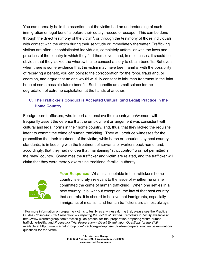You can normally belie the assertion that the victim had an understanding of such immigration or legal benefits before their outcry, rescue or escape. This can be done through the direct testimony of the victim<sup>3</sup>, or through the testimony of those individuals with contact with the victim during their servitude or immediately thereafter. Trafficking victims are often unsophisticated individuals, completely unfamiliar with the laws and practices of the country in which they find themselves, and, in most cases, it should be obvious that they lacked the wherewithal to concoct a story to obtain benefits. But even when there is some evidence that the victim may have been familiar with the possibility of receiving a benefit, you can point to the corroboration for the force, fraud and, or coercion, and argue that no one would willfully consent to inhuman treatment in the faint hope of some possible future benefit. Such benefits are small solace for the degradation of extreme exploitation at the hands of another.

# **C. The Trafficker's Conduct is Accepted Cultural (and Legal) Practice in the Home Country**

Foreign-born traffickers, who import and enslave their countrymen/women, will frequently assert the defense that the employment arrangement was consistent with cultural and legal norms in their home country, and, thus, that they lacked the requisite intent to commit the crime of human trafficking. They will produce witnesses for the proposition that their treatment of the victim, while harsh or penurious by host country standards, is in keeping with the treatment of servants or workers back home; and, accordingly, that they had no idea that maintaining "strict control" was not permitted in the "new" country. Sometimes the trafficker and victim are related, and the trafficker will claim that they were merely exercising traditional familial authority.



**Your Response:** What is acceptable in the trafficker's home country is entirely irrelevant to the issue of whether he or she committed the crime of human trafficking. When one settles in a new country, it is, without exception, the law of that host country that controls. It is absurd to believe that immigrants, especially immigrants of means—and human traffickers are almost always

  $3$  For more information on preparing victims to testify as a witness during trial, please see the Practice Guides *Prosecutor Trial Preparation – Preparing the Victim of Human Trafficking to Testify* available at http://www.warnathgroup.com/practice-guide-prosecutor-trial-preparation-preparing-victim-humantrafficking-testify/ and *Prosecutor Trial Preparation – Direct Examination Questions for the Victim* available at http://www.warnathgroup.com/practice-guide-prosecutor-trial-preparation-direct-examinationquestions-for-the-victim/.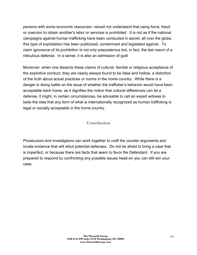persons with some economic resources—would not understand that using force, fraud or coercion to obtain another's labor or services is prohibited. It is not as if the national campaigns against human trafficking have been conducted in secret; all over the globe, this type of exploitation has been publicized, condemned and legislated against. To claim ignorance of its prohibition is not only preposterous but, in fact, the last resort of a ridiculous defense. In a sense, it is also an admission of guilt.

Moreover, when one dissects these claims of cultural, familial or religious acceptance of the exploitive conduct, they are nearly always found to be false and hollow, a distortion of the truth about actual practices or norms in the home country. While there is a danger in doing battle on the issue of whether the trafficker's behavior would have been acceptable back home, as it dignifies the notion that cultural differences *can be* a defense, it might, in certain circumstances, be advisable to call an expert witness to belie the idea that any form of what is internationally recognized as human trafficking is legal or socially acceptable in the home country.

#### **Conclusion**

Prosecutors and investigators can work together to craft the counter arguments and locate evidence that will rebut potential defenses. Do not be afraid to bring a case that is imperfect, or because there are facts that seem to favor the Defendant. If you are prepared to respond by confronting any possible issues head-on you can still win your case.